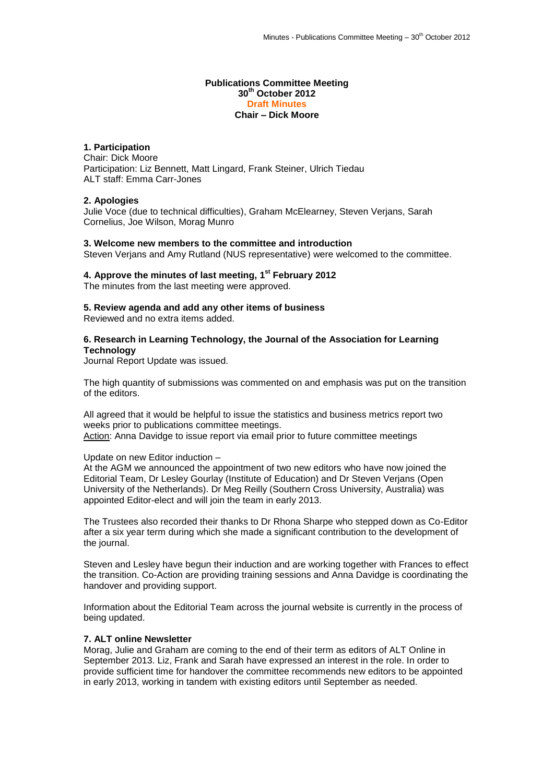#### **Publications Committee Meeting 30th October 2012 Draft Minutes Chair – Dick Moore**

# **1. Participation**

Chair: Dick Moore Participation: Liz Bennett, Matt Lingard, Frank Steiner, Ulrich Tiedau ALT staff: Emma Carr-Jones

## **2. Apologies**

Julie Voce (due to technical difficulties), Graham McElearney, Steven Verjans, Sarah Cornelius, Joe Wilson, Morag Munro

#### **3. Welcome new members to the committee and introduction**

Steven Verjans and Amy Rutland (NUS representative) were welcomed to the committee.

# **4. Approve the minutes of last meeting, 1 st February 2012**

The minutes from the last meeting were approved.

### **5. Review agenda and add any other items of business**

Reviewed and no extra items added.

## **6. Research in Learning Technology, the Journal of the Association for Learning Technology**

Journal Report Update was issued.

The high quantity of submissions was commented on and emphasis was put on the transition of the editors.

All agreed that it would be helpful to issue the statistics and business metrics report two weeks prior to publications committee meetings. Action: Anna Davidge to issue report via email prior to future committee meetings

## Update on new Editor induction –

At the AGM we announced the appointment of two new editors who have now joined the Editorial Team, Dr Lesley Gourlay (Institute of Education) and Dr Steven Verjans (Open University of the Netherlands). Dr Meg Reilly (Southern Cross University, Australia) was appointed Editor-elect and will join the team in early 2013.

The Trustees also recorded their thanks to Dr Rhona Sharpe who stepped down as Co-Editor after a six year term during which she made a significant contribution to the development of the journal.

Steven and Lesley have begun their induction and are working together with Frances to effect the transition. Co-Action are providing training sessions and Anna Davidge is coordinating the handover and providing support.

Information about the Editorial Team across the journal website is currently in the process of being updated.

## **7. ALT online Newsletter**

Morag, Julie and Graham are coming to the end of their term as editors of ALT Online in September 2013. Liz, Frank and Sarah have expressed an interest in the role. In order to provide sufficient time for handover the committee recommends new editors to be appointed in early 2013, working in tandem with existing editors until September as needed.